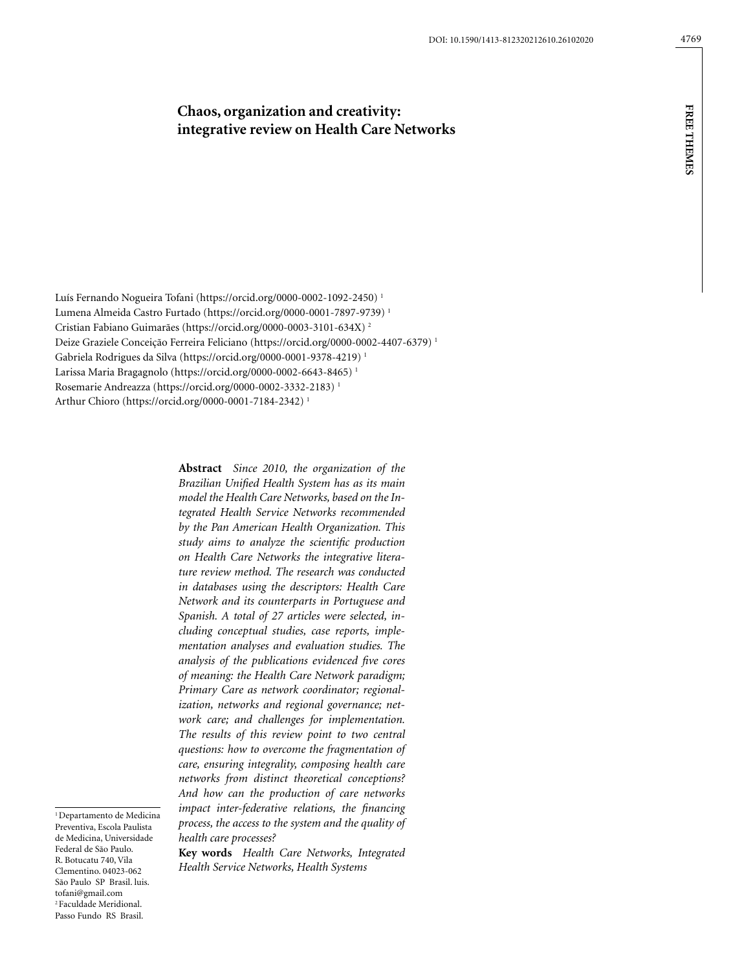# **Chaos, organization and creativity: integrative review on Health Care Networks**

Luís Fernando Nogueira Tofani (https://orcid.org/0000-0002-1092-2450) 1 Lumena Almeida Castro Furtado (https://orcid.org/0000-0001-7897-9739) 1 Cristian Fabiano Guimarães (https://orcid.org/0000-0003-3101-634X) 2 Deize Graziele Conceição Ferreira Feliciano (https://orcid.org/0000-0002-4407-6379) 1 Gabriela Rodrigues da Silva (https://orcid.org/0000-0001-9378-4219) 1 Larissa Maria Bragagnolo (https://orcid.org/0000-0002-6643-8465) 1 Rosemarie Andreazza (https://orcid.org/0000-0002-3332-2183) 1 Arthur Chioro (https://orcid.org/0000-0001-7184-2342) 1

> **Abstract** *Since 2010, the organization of the Brazilian Unified Health System has as its main model the Health Care Networks, based on the Integrated Health Service Networks recommended by the Pan American Health Organization. This study aims to analyze the scientific production on Health Care Networks the integrative literature review method. The research was conducted in databases using the descriptors: Health Care Network and its counterparts in Portuguese and Spanish. A total of 27 articles were selected, including conceptual studies, case reports, implementation analyses and evaluation studies. The analysis of the publications evidenced five cores of meaning: the Health Care Network paradigm; Primary Care as network coordinator; regionalization, networks and regional governance; network care; and challenges for implementation. The results of this review point to two central questions: how to overcome the fragmentation of care, ensuring integrality, composing health care networks from distinct theoretical conceptions? And how can the production of care networks impact inter-federative relations, the financing process, the access to the system and the quality of health care processes?*

> **Key words** *Health Care Networks, Integrated Health Service Networks, Health Systems*

<sup>1</sup> Departamento de Medicina Preventiva, Escola Paulista de Medicina, Universidade Federal de São Paulo. R. Botucatu 740, Vila Clementino. 04023-062 São Paulo SP Brasil. luis. tofani@gmail.com 2 Faculdade Meridional. Passo Fundo RS Brasil.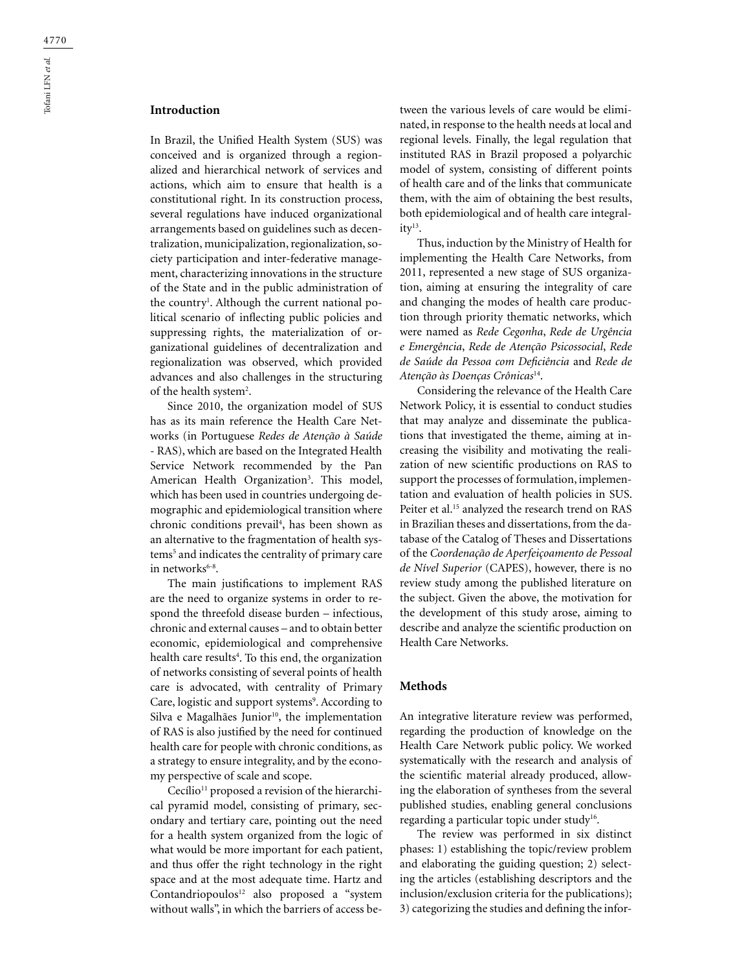# **Introduction**

In Brazil, the Unified Health System (SUS) was conceived and is organized through a regionalized and hierarchical network of services and actions, which aim to ensure that health is a constitutional right. In its construction process, several regulations have induced organizational arrangements based on guidelines such as decentralization, municipalization, regionalization, society participation and inter-federative management, characterizing innovations in the structure of the State and in the public administration of the country<sup>1</sup>. Although the current national political scenario of inflecting public policies and suppressing rights, the materialization of organizational guidelines of decentralization and regionalization was observed, which provided advances and also challenges in the structuring of the health system<sup>2</sup>.

Since 2010, the organization model of SUS has as its main reference the Health Care Networks (in Portuguese *Redes de Atenção à Saúde* - RAS), which are based on the Integrated Health Service Network recommended by the Pan American Health Organization<sup>3</sup>. This model, which has been used in countries undergoing demographic and epidemiological transition where chronic conditions prevail4 , has been shown as an alternative to the fragmentation of health systems<sup>5</sup> and indicates the centrality of primary care in network $s^{6-8}$ .

The main justifications to implement RAS are the need to organize systems in order to respond the threefold disease burden – infectious, chronic and external causes – and to obtain better economic, epidemiological and comprehensive health care results<sup>4</sup>. To this end, the organization of networks consisting of several points of health care is advocated, with centrality of Primary Care, logistic and support systems<sup>9</sup>. According to Silva e Magalhães Junior<sup>10</sup>, the implementation of RAS is also justified by the need for continued health care for people with chronic conditions, as a strategy to ensure integrality, and by the economy perspective of scale and scope.

Cecílio<sup>11</sup> proposed a revision of the hierarchical pyramid model, consisting of primary, secondary and tertiary care, pointing out the need for a health system organized from the logic of what would be more important for each patient, and thus offer the right technology in the right space and at the most adequate time. Hartz and Contandriopoulos<sup>12</sup> also proposed a "system without walls", in which the barriers of access between the various levels of care would be eliminated, in response to the health needs at local and regional levels. Finally, the legal regulation that instituted RAS in Brazil proposed a polyarchic model of system, consisting of different points of health care and of the links that communicate them, with the aim of obtaining the best results, both epidemiological and of health care integrality13.

Thus, induction by the Ministry of Health for implementing the Health Care Networks, from 2011, represented a new stage of SUS organization, aiming at ensuring the integrality of care and changing the modes of health care production through priority thematic networks, which were named as *Rede Cegonha*, *Rede de Urgência e Emergência*, *Rede de Atenção Psicossocial*, *Rede de Saúde da Pessoa com Deficiência* and *Rede de Atenção às Doenças Crônicas*14.

Considering the relevance of the Health Care Network Policy, it is essential to conduct studies that may analyze and disseminate the publications that investigated the theme, aiming at increasing the visibility and motivating the realization of new scientific productions on RAS to support the processes of formulation, implementation and evaluation of health policies in SUS. Peiter et al.<sup>15</sup> analyzed the research trend on RAS in Brazilian theses and dissertations, from the database of the Catalog of Theses and Dissertations of the *Coordenação de Aperfeiçoamento de Pessoal de Nível Superior* (CAPES), however, there is no review study among the published literature on the subject. Given the above, the motivation for the development of this study arose, aiming to describe and analyze the scientific production on Health Care Networks.

#### **Methods**

An integrative literature review was performed, regarding the production of knowledge on the Health Care Network public policy. We worked systematically with the research and analysis of the scientific material already produced, allowing the elaboration of syntheses from the several published studies, enabling general conclusions regarding a particular topic under study<sup>16</sup>.

The review was performed in six distinct phases: 1) establishing the topic/review problem and elaborating the guiding question; 2) selecting the articles (establishing descriptors and the inclusion/exclusion criteria for the publications); 3) categorizing the studies and defining the infor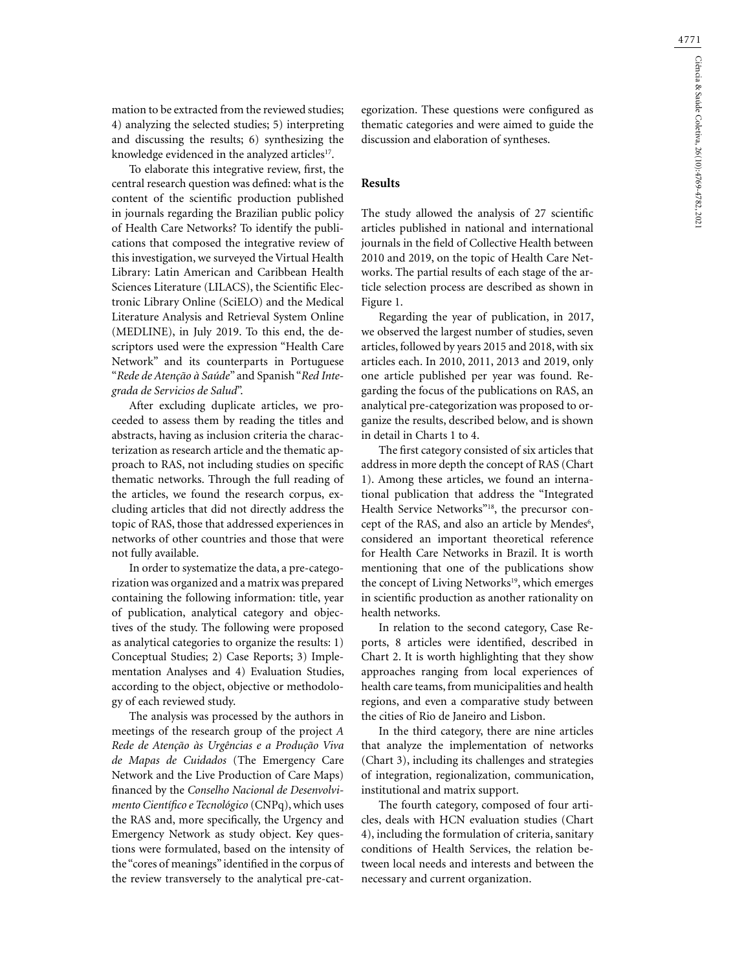mation to be extracted from the reviewed studies; 4) analyzing the selected studies; 5) interpreting and discussing the results; 6) synthesizing the knowledge evidenced in the analyzed articles<sup>17</sup>.

To elaborate this integrative review, first, the central research question was defined: what is the content of the scientific production published in journals regarding the Brazilian public policy of Health Care Networks? To identify the publications that composed the integrative review of this investigation, we surveyed the Virtual Health Library: Latin American and Caribbean Health Sciences Literature (LILACS), the Scientific Electronic Library Online (SciELO) and the Medical Literature Analysis and Retrieval System Online (MEDLINE), in July 2019. To this end, the descriptors used were the expression "Health Care Network" and its counterparts in Portuguese "*Rede de Atenção à Saúde*" and Spanish "*Red Integrada de Servicios de Salud*".

After excluding duplicate articles, we proceeded to assess them by reading the titles and abstracts, having as inclusion criteria the characterization as research article and the thematic approach to RAS, not including studies on specific thematic networks. Through the full reading of the articles, we found the research corpus, excluding articles that did not directly address the topic of RAS, those that addressed experiences in networks of other countries and those that were not fully available.

In order to systematize the data, a pre-categorization was organized and a matrix was prepared containing the following information: title, year of publication, analytical category and objectives of the study. The following were proposed as analytical categories to organize the results: 1) Conceptual Studies; 2) Case Reports; 3) Implementation Analyses and 4) Evaluation Studies, according to the object, objective or methodology of each reviewed study.

The analysis was processed by the authors in meetings of the research group of the project *A Rede de Atenção às Urgências e a Produção Viva de Mapas de Cuidados* (The Emergency Care Network and the Live Production of Care Maps) financed by the *Conselho Nacional de Desenvolvimento Científico e Tecnológico* (CNPq), which uses the RAS and, more specifically, the Urgency and Emergency Network as study object. Key questions were formulated, based on the intensity of the "cores of meanings" identified in the corpus of the review transversely to the analytical pre-categorization. These questions were configured as thematic categories and were aimed to guide the discussion and elaboration of syntheses.

#### **Results**

The study allowed the analysis of 27 scientific articles published in national and international journals in the field of Collective Health between 2010 and 2019, on the topic of Health Care Networks. The partial results of each stage of the article selection process are described as shown in Figure 1.

Regarding the year of publication, in 2017, we observed the largest number of studies, seven articles, followed by years 2015 and 2018, with six articles each. In 2010, 2011, 2013 and 2019, only one article published per year was found. Regarding the focus of the publications on RAS, an analytical pre-categorization was proposed to organize the results, described below, and is shown in detail in Charts 1 to 4.

The first category consisted of six articles that address in more depth the concept of RAS (Chart 1). Among these articles, we found an international publication that address the "Integrated Health Service Networks"<sup>18</sup>, the precursor concept of the RAS, and also an article by Mendes<sup>6</sup>, considered an important theoretical reference for Health Care Networks in Brazil. It is worth mentioning that one of the publications show the concept of Living Networks<sup>19</sup>, which emerges in scientific production as another rationality on health networks.

In relation to the second category, Case Reports, 8 articles were identified, described in Chart 2. It is worth highlighting that they show approaches ranging from local experiences of health care teams, from municipalities and health regions, and even a comparative study between the cities of Rio de Janeiro and Lisbon.

In the third category, there are nine articles that analyze the implementation of networks (Chart 3), including its challenges and strategies of integration, regionalization, communication, institutional and matrix support.

The fourth category, composed of four articles, deals with HCN evaluation studies (Chart 4), including the formulation of criteria, sanitary conditions of Health Services, the relation between local needs and interests and between the necessary and current organization.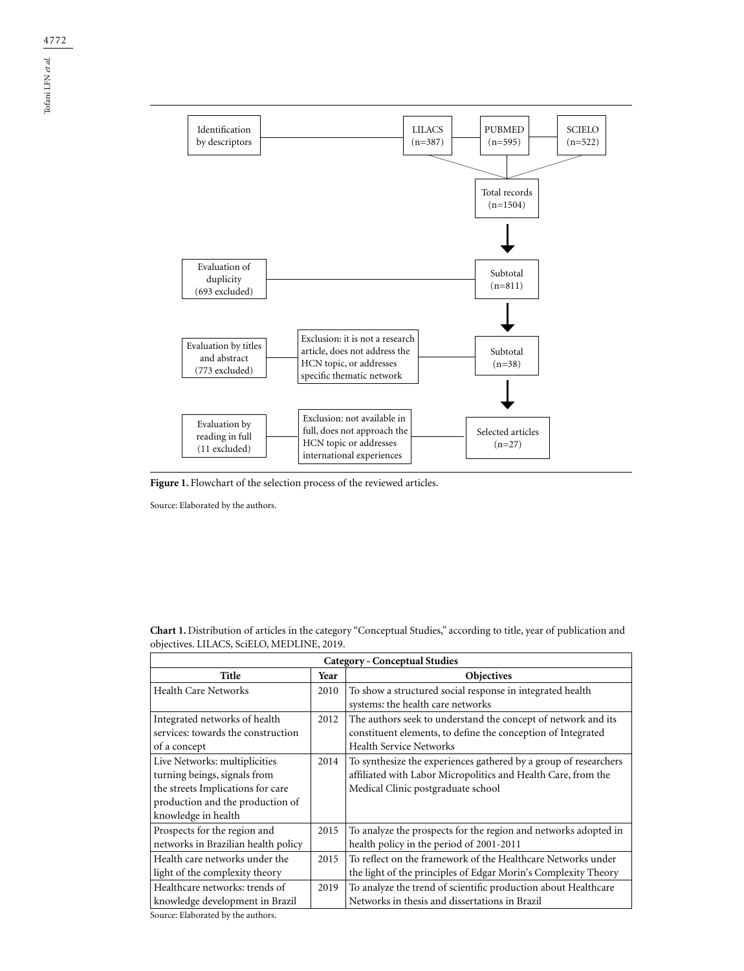

Figure 1. Flowchart of the selection process of the reviewed articles.

Source: Elaborated by the authors.

| <b>Category - Conceptual Studies</b>                                                                                                                          |      |                                                                                                                                                                         |  |
|---------------------------------------------------------------------------------------------------------------------------------------------------------------|------|-------------------------------------------------------------------------------------------------------------------------------------------------------------------------|--|
| Title                                                                                                                                                         | Year | <b>Objectives</b>                                                                                                                                                       |  |
| Health Care Networks                                                                                                                                          | 2010 | To show a structured social response in integrated health<br>systems: the health care networks                                                                          |  |
| Integrated networks of health<br>services: towards the construction<br>of a concept                                                                           | 2012 | The authors seek to understand the concept of network and its<br>constituent elements, to define the conception of Integrated<br><b>Health Service Networks</b>         |  |
| Live Networks: multiplicities<br>turning beings, signals from<br>the streets Implications for care<br>production and the production of<br>knowledge in health | 2014 | To synthesize the experiences gathered by a group of researchers<br>affiliated with Labor Micropolitics and Health Care, from the<br>Medical Clinic postgraduate school |  |
| Prospects for the region and<br>networks in Brazilian health policy                                                                                           | 2015 | To analyze the prospects for the region and networks adopted in<br>health policy in the period of 2001-2011                                                             |  |
| Health care networks under the<br>light of the complexity theory                                                                                              | 2015 | To reflect on the framework of the Healthcare Networks under<br>the light of the principles of Edgar Morin's Complexity Theory                                          |  |
| Healthcare networks: trends of<br>knowledge development in Brazil                                                                                             | 2019 | To analyze the trend of scientific production about Healthcare<br>Networks in thesis and dissertations in Brazil                                                        |  |

**Chart 1.** Distribution of articles in the category "Conceptual Studies," according to title, year of publication and objectives. LILACS, SciELO, MEDLINE, 2019.

Source: Elaborated by the authors.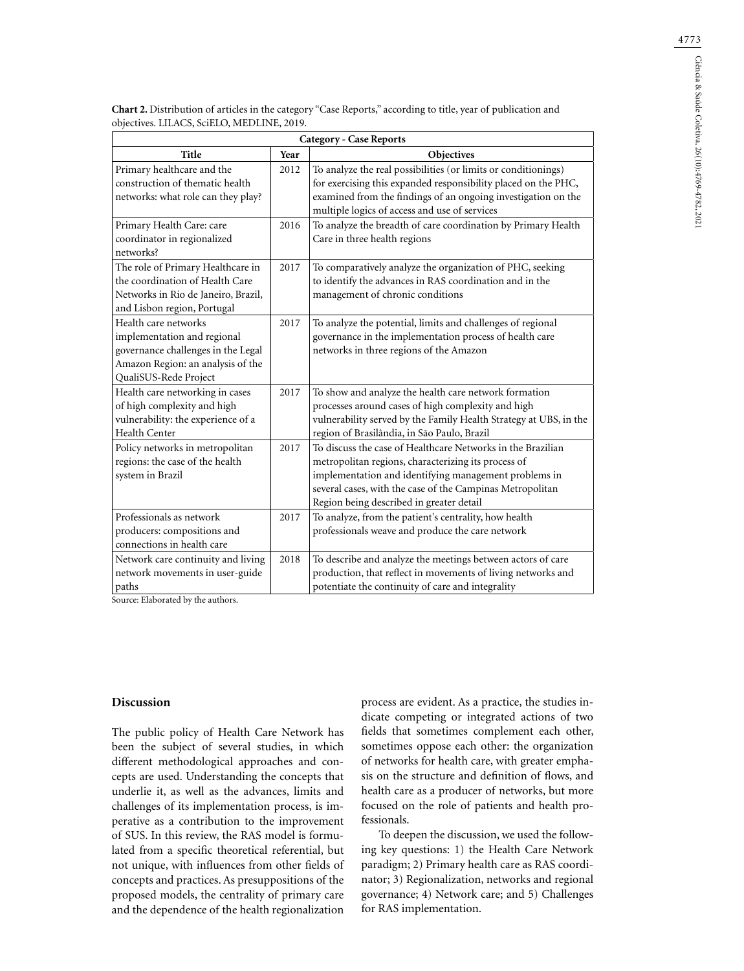| Chart 2. Distribution of articles in the category "Case Reports," according to title, year of publication and |  |  |
|---------------------------------------------------------------------------------------------------------------|--|--|
| objectives. LILACS, SciELO, MEDLINE, 2019.                                                                    |  |  |

| <b>Category - Case Reports</b>                                                                                                                          |      |                                                                                                                                                                                                                                                                                      |  |
|---------------------------------------------------------------------------------------------------------------------------------------------------------|------|--------------------------------------------------------------------------------------------------------------------------------------------------------------------------------------------------------------------------------------------------------------------------------------|--|
| Title                                                                                                                                                   | Year | Objectives                                                                                                                                                                                                                                                                           |  |
| Primary healthcare and the<br>construction of thematic health<br>networks: what role can they play?                                                     | 2012 | To analyze the real possibilities (or limits or conditionings)<br>for exercising this expanded responsibility placed on the PHC,<br>examined from the findings of an ongoing investigation on the<br>multiple logics of access and use of services                                   |  |
| Primary Health Care: care<br>coordinator in regionalized<br>networks?                                                                                   | 2016 | To analyze the breadth of care coordination by Primary Health<br>Care in three health regions                                                                                                                                                                                        |  |
| The role of Primary Healthcare in<br>the coordination of Health Care<br>Networks in Rio de Janeiro, Brazil,<br>and Lisbon region, Portugal              | 2017 | To comparatively analyze the organization of PHC, seeking<br>to identify the advances in RAS coordination and in the<br>management of chronic conditions                                                                                                                             |  |
| Health care networks<br>implementation and regional<br>governance challenges in the Legal<br>Amazon Region: an analysis of the<br>QualiSUS-Rede Project | 2017 | To analyze the potential, limits and challenges of regional<br>governance in the implementation process of health care<br>networks in three regions of the Amazon                                                                                                                    |  |
| Health care networking in cases<br>of high complexity and high<br>vulnerability: the experience of a<br><b>Health Center</b>                            | 2017 | To show and analyze the health care network formation<br>processes around cases of high complexity and high<br>vulnerability served by the Family Health Strategy at UBS, in the<br>region of Brasilândia, in São Paulo, Brazil                                                      |  |
| Policy networks in metropolitan<br>regions: the case of the health<br>system in Brazil                                                                  | 2017 | To discuss the case of Healthcare Networks in the Brazilian<br>metropolitan regions, characterizing its process of<br>implementation and identifying management problems in<br>several cases, with the case of the Campinas Metropolitan<br>Region being described in greater detail |  |
| Professionals as network<br>producers: compositions and<br>connections in health care                                                                   | 2017 | To analyze, from the patient's centrality, how health<br>professionals weave and produce the care network                                                                                                                                                                            |  |
| Network care continuity and living<br>network movements in user-guide<br>paths                                                                          | 2018 | To describe and analyze the meetings between actors of care<br>production, that reflect in movements of living networks and<br>potentiate the continuity of care and integrality                                                                                                     |  |

Source: Elaborated by the authors.

## **Discussion**

The public policy of Health Care Network has been the subject of several studies, in which different methodological approaches and concepts are used. Understanding the concepts that underlie it, as well as the advances, limits and challenges of its implementation process, is imperative as a contribution to the improvement of SUS. In this review, the RAS model is formulated from a specific theoretical referential, but not unique, with influences from other fields of concepts and practices. As presuppositions of the proposed models, the centrality of primary care and the dependence of the health regionalization

process are evident. As a practice, the studies indicate competing or integrated actions of two fields that sometimes complement each other, sometimes oppose each other: the organization of networks for health care, with greater emphasis on the structure and definition of flows, and health care as a producer of networks, but more focused on the role of patients and health professionals.

To deepen the discussion, we used the following key questions: 1) the Health Care Network paradigm; 2) Primary health care as RAS coordinator; 3) Regionalization, networks and regional governance; 4) Network care; and 5) Challenges for RAS implementation.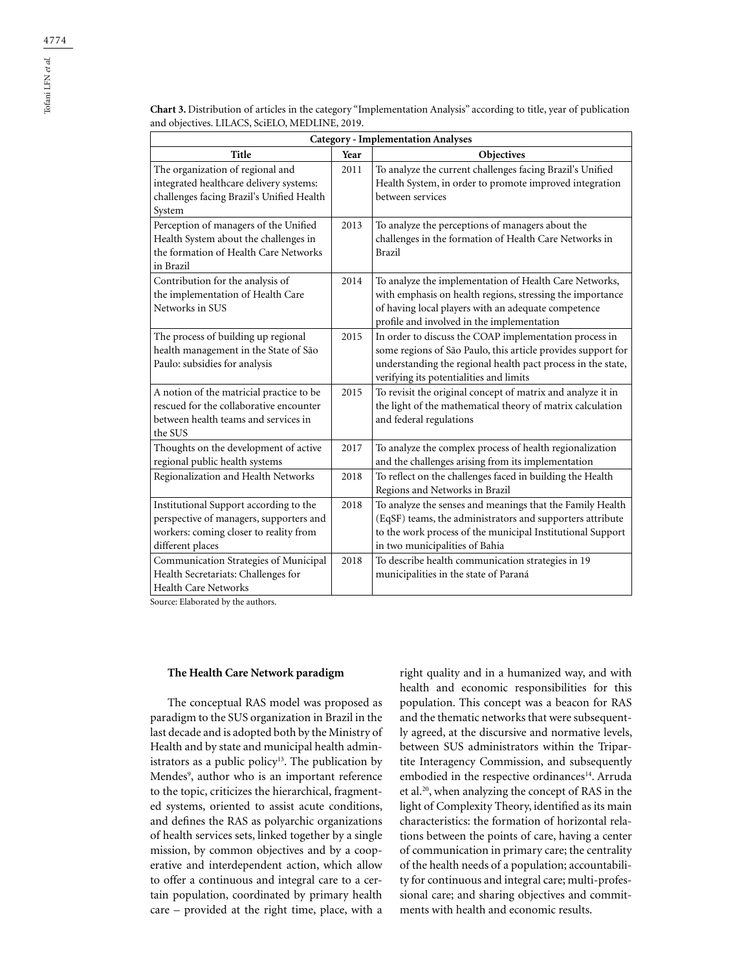| <b>Title</b>                                                                                                                                    | Year | Objectives                                                                                                                                                                                                                        |
|-------------------------------------------------------------------------------------------------------------------------------------------------|------|-----------------------------------------------------------------------------------------------------------------------------------------------------------------------------------------------------------------------------------|
| The organization of regional and<br>integrated healthcare delivery systems:<br>challenges facing Brazil's Unified Health<br>System              | 2011 | To analyze the current challenges facing Brazil's Unified<br>Health System, in order to promote improved integration<br>between services                                                                                          |
| Perception of managers of the Unified<br>Health System about the challenges in<br>the formation of Health Care Networks<br>in Brazil            | 2013 | To analyze the perceptions of managers about the<br>challenges in the formation of Health Care Networks in<br><b>Brazil</b>                                                                                                       |
| Contribution for the analysis of<br>the implementation of Health Care<br>Networks in SUS                                                        | 2014 | To analyze the implementation of Health Care Networks,<br>with emphasis on health regions, stressing the importance<br>of having local players with an adequate competence<br>profile and involved in the implementation          |
| The process of building up regional<br>health management in the State of São<br>Paulo: subsidies for analysis                                   | 2015 | In order to discuss the COAP implementation process in<br>some regions of São Paulo, this article provides support for<br>understanding the regional health pact process in the state,<br>verifying its potentialities and limits |
| A notion of the matricial practice to be<br>rescued for the collaborative encounter<br>between health teams and services in<br>the SUS          | 2015 | To revisit the original concept of matrix and analyze it in<br>the light of the mathematical theory of matrix calculation<br>and federal regulations                                                                              |
| Thoughts on the development of active<br>regional public health systems                                                                         | 2017 | To analyze the complex process of health regionalization<br>and the challenges arising from its implementation                                                                                                                    |
| Regionalization and Health Networks                                                                                                             | 2018 | To reflect on the challenges faced in building the Health<br>Regions and Networks in Brazil                                                                                                                                       |
| Institutional Support according to the<br>perspective of managers, supporters and<br>workers: coming closer to reality from<br>different places | 2018 | To analyze the senses and meanings that the Family Health<br>(EqSF) teams, the administrators and supporters attribute<br>to the work process of the municipal Institutional Support<br>in two municipalities of Bahia            |
| Communication Strategies of Municipal<br>Health Secretariats: Challenges for<br><b>Health Care Networks</b>                                     | 2018 | To describe health communication strategies in 19<br>municipalities in the state of Paraná                                                                                                                                        |

**Chart 3.** Distribution of articles in the category "Implementation Analysis" according to title, year of publication and objectives. LILACS, SciELO, MEDLINE, 2019. **Category - Implementation Analyses**

Source: Elaborated by the authors.

#### **The Health Care Network paradigm**

The conceptual RAS model was proposed as paradigm to the SUS organization in Brazil in the last decade and is adopted both by the Ministry of Health and by state and municipal health administrators as a public policy<sup>13</sup>. The publication by Mendes<sup>9</sup>, author who is an important reference to the topic, criticizes the hierarchical, fragmented systems, oriented to assist acute conditions, and defines the RAS as polyarchic organizations of health services sets, linked together by a single mission, by common objectives and by a cooperative and interdependent action, which allow to offer a continuous and integral care to a certain population, coordinated by primary health care – provided at the right time, place, with a

right quality and in a humanized way, and with health and economic responsibilities for this population. This concept was a beacon for RAS and the thematic networks that were subsequently agreed, at the discursive and normative levels, between SUS administrators within the Tripartite Interagency Commission, and subsequently embodied in the respective ordinances<sup>14</sup>. Arruda et al.20, when analyzing the concept of RAS in the light of Complexity Theory, identified as its main characteristics: the formation of horizontal relations between the points of care, having a center of communication in primary care; the centrality of the health needs of a population; accountability for continuous and integral care; multi-professional care; and sharing objectives and commitments with health and economic results.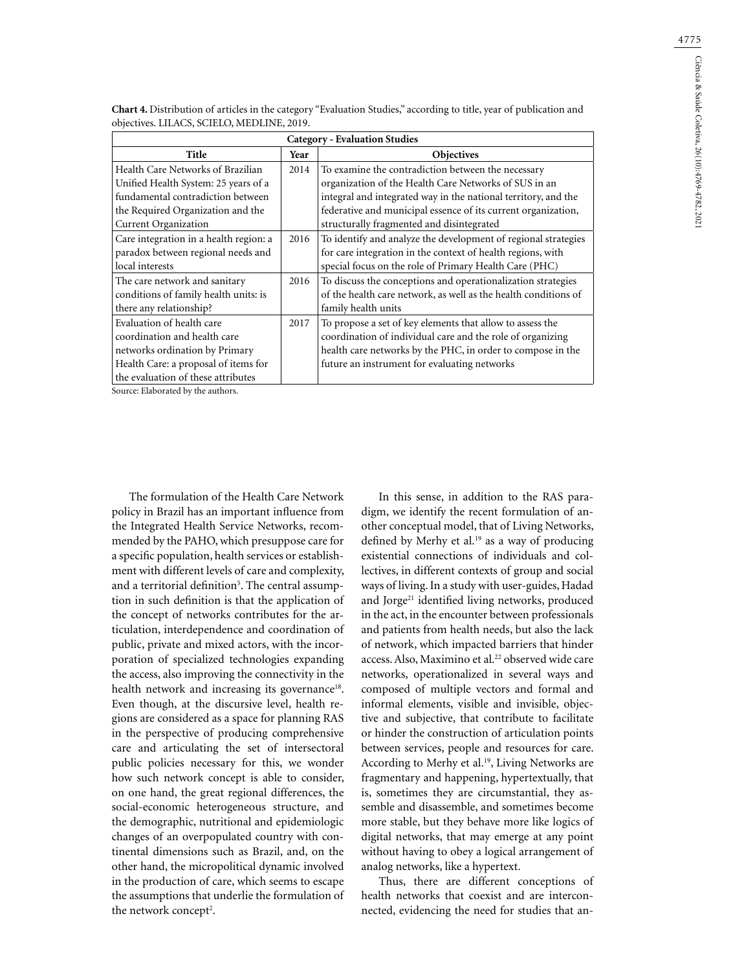| <b>Category - Evaluation Studies</b>   |      |                                                                 |  |  |
|----------------------------------------|------|-----------------------------------------------------------------|--|--|
| Title                                  | Year | <b>Objectives</b>                                               |  |  |
| Health Care Networks of Brazilian      | 2014 | To examine the contradiction between the necessary              |  |  |
| Unified Health System: 25 years of a   |      | organization of the Health Care Networks of SUS in an           |  |  |
| fundamental contradiction between      |      | integral and integrated way in the national territory, and the  |  |  |
| the Required Organization and the      |      | federative and municipal essence of its current organization,   |  |  |
| <b>Current Organization</b>            |      | structurally fragmented and disintegrated                       |  |  |
| Care integration in a health region: a | 2016 | To identify and analyze the development of regional strategies  |  |  |
| paradox between regional needs and     |      | for care integration in the context of health regions, with     |  |  |
| local interests                        |      | special focus on the role of Primary Health Care (PHC)          |  |  |
| The care network and sanitary          | 2016 | To discuss the conceptions and operationalization strategies    |  |  |
| conditions of family health units: is  |      | of the health care network, as well as the health conditions of |  |  |
| there any relationship?                |      | family health units                                             |  |  |
| Evaluation of health care              | 2017 | To propose a set of key elements that allow to assess the       |  |  |
| coordination and health care           |      | coordination of individual care and the role of organizing      |  |  |
| networks ordination by Primary         |      | health care networks by the PHC, in order to compose in the     |  |  |
| Health Care: a proposal of items for   |      | future an instrument for evaluating networks                    |  |  |
| the evaluation of these attributes     |      |                                                                 |  |  |
| Source: Elaborated by the authors.     |      |                                                                 |  |  |

**Chart 4.** Distribution of articles in the category "Evaluation Studies," according to title, year of publication and objectives. LILACS, SCIELO, MEDLINE, 2019.

The formulation of the Health Care Network policy in Brazil has an important influence from the Integrated Health Service Networks, recommended by the PAHO, which presuppose care for a specific population, health services or establishment with different levels of care and complexity, and a territorial definition<sup>5</sup>. The central assumption in such definition is that the application of the concept of networks contributes for the articulation, interdependence and coordination of public, private and mixed actors, with the incorporation of specialized technologies expanding the access, also improving the connectivity in the health network and increasing its governance<sup>18</sup>. Even though, at the discursive level, health regions are considered as a space for planning RAS in the perspective of producing comprehensive care and articulating the set of intersectoral public policies necessary for this, we wonder how such network concept is able to consider, on one hand, the great regional differences, the social-economic heterogeneous structure, and the demographic, nutritional and epidemiologic changes of an overpopulated country with continental dimensions such as Brazil, and, on the other hand, the micropolitical dynamic involved in the production of care, which seems to escape the assumptions that underlie the formulation of the network concept<sup>2</sup>.

In this sense, in addition to the RAS paradigm, we identify the recent formulation of another conceptual model, that of Living Networks, defined by Merhy et al.<sup>19</sup> as a way of producing existential connections of individuals and collectives, in different contexts of group and social ways of living. In a study with user-guides, Hadad and Jorge<sup>21</sup> identified living networks, produced in the act, in the encounter between professionals and patients from health needs, but also the lack of network, which impacted barriers that hinder access. Also, Maximino et al.<sup>22</sup> observed wide care networks, operationalized in several ways and composed of multiple vectors and formal and informal elements, visible and invisible, objective and subjective, that contribute to facilitate or hinder the construction of articulation points between services, people and resources for care. According to Merhy et al.<sup>19</sup>, Living Networks are fragmentary and happening, hypertextually, that is, sometimes they are circumstantial, they assemble and disassemble, and sometimes become more stable, but they behave more like logics of digital networks, that may emerge at any point without having to obey a logical arrangement of analog networks, like a hypertext.

Thus, there are different conceptions of health networks that coexist and are interconnected, evidencing the need for studies that an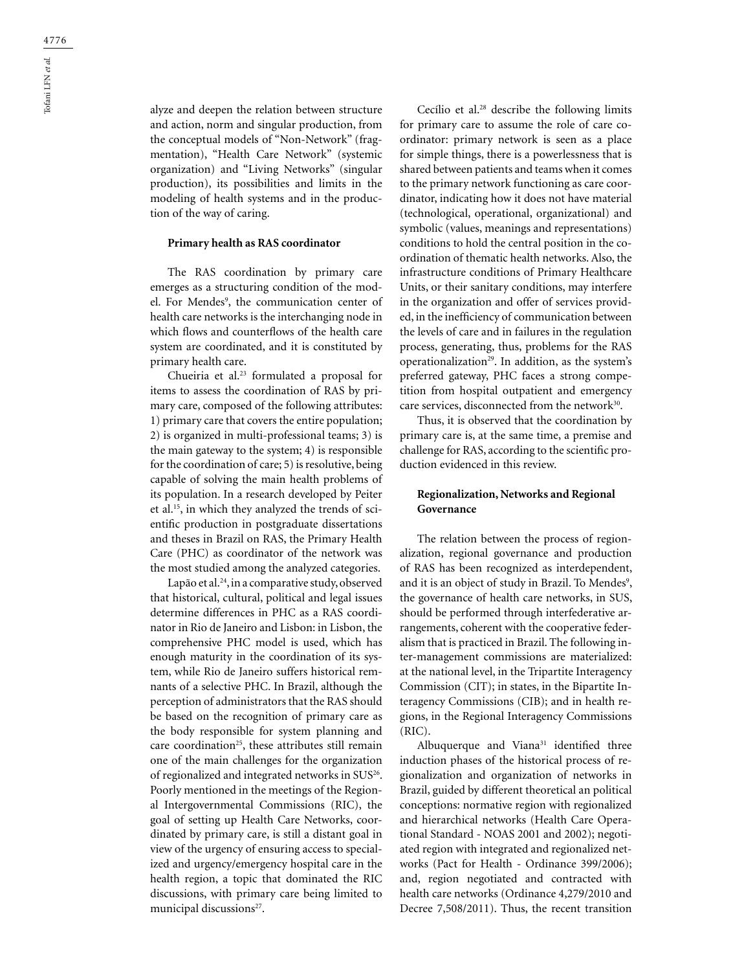alyze and deepen the relation between structure and action, norm and singular production, from the conceptual models of "Non-Network" (fragmentation), "Health Care Network" (systemic organization) and "Living Networks" (singular production), its possibilities and limits in the modeling of health systems and in the production of the way of caring.

### **Primary health as RAS coordinator**

The RAS coordination by primary care emerges as a structuring condition of the model. For Mendes<sup>9</sup>, the communication center of health care networks is the interchanging node in which flows and counterflows of the health care system are coordinated, and it is constituted by primary health care.

Chueiria et al.23 formulated a proposal for items to assess the coordination of RAS by primary care, composed of the following attributes: 1) primary care that covers the entire population; 2) is organized in multi-professional teams; 3) is the main gateway to the system; 4) is responsible for the coordination of care; 5) is resolutive, being capable of solving the main health problems of its population. In a research developed by Peiter et al.15, in which they analyzed the trends of scientific production in postgraduate dissertations and theses in Brazil on RAS, the Primary Health Care (PHC) as coordinator of the network was the most studied among the analyzed categories.

Lapão et al.<sup>24</sup>, in a comparative study, observed that historical, cultural, political and legal issues determine differences in PHC as a RAS coordinator in Rio de Janeiro and Lisbon: in Lisbon, the comprehensive PHC model is used, which has enough maturity in the coordination of its system, while Rio de Janeiro suffers historical remnants of a selective PHC. In Brazil, although the perception of administrators that the RAS should be based on the recognition of primary care as the body responsible for system planning and care coordination<sup>25</sup>, these attributes still remain one of the main challenges for the organization of regionalized and integrated networks in SUS<sup>26</sup>. Poorly mentioned in the meetings of the Regional Intergovernmental Commissions (RIC), the goal of setting up Health Care Networks, coordinated by primary care, is still a distant goal in view of the urgency of ensuring access to specialized and urgency/emergency hospital care in the health region, a topic that dominated the RIC discussions, with primary care being limited to municipal discussions<sup>27</sup>.

Cecílio et al.28 describe the following limits for primary care to assume the role of care coordinator: primary network is seen as a place for simple things, there is a powerlessness that is shared between patients and teams when it comes to the primary network functioning as care coordinator, indicating how it does not have material (technological, operational, organizational) and symbolic (values, meanings and representations) conditions to hold the central position in the coordination of thematic health networks. Also, the infrastructure conditions of Primary Healthcare Units, or their sanitary conditions, may interfere in the organization and offer of services provided, in the inefficiency of communication between the levels of care and in failures in the regulation process, generating, thus, problems for the RAS operationalization<sup>29</sup>. In addition, as the system's preferred gateway, PHC faces a strong competition from hospital outpatient and emergency care services, disconnected from the network<sup>30</sup>.

Thus, it is observed that the coordination by primary care is, at the same time, a premise and challenge for RAS, according to the scientific production evidenced in this review.

# **Regionalization, Networks and Regional Governance**

The relation between the process of regionalization, regional governance and production of RAS has been recognized as interdependent, and it is an object of study in Brazil. To Mendes<sup>9</sup>, the governance of health care networks, in SUS, should be performed through interfederative arrangements, coherent with the cooperative federalism that is practiced in Brazil. The following inter-management commissions are materialized: at the national level, in the Tripartite Interagency Commission (CIT); in states, in the Bipartite Interagency Commissions (CIB); and in health regions, in the Regional Interagency Commissions (RIC).

Albuquerque and Viana<sup>31</sup> identified three induction phases of the historical process of regionalization and organization of networks in Brazil, guided by different theoretical an political conceptions: normative region with regionalized and hierarchical networks (Health Care Operational Standard - NOAS 2001 and 2002); negotiated region with integrated and regionalized networks (Pact for Health - Ordinance 399/2006); and, region negotiated and contracted with health care networks (Ordinance 4,279/2010 and Decree 7,508/2011). Thus, the recent transition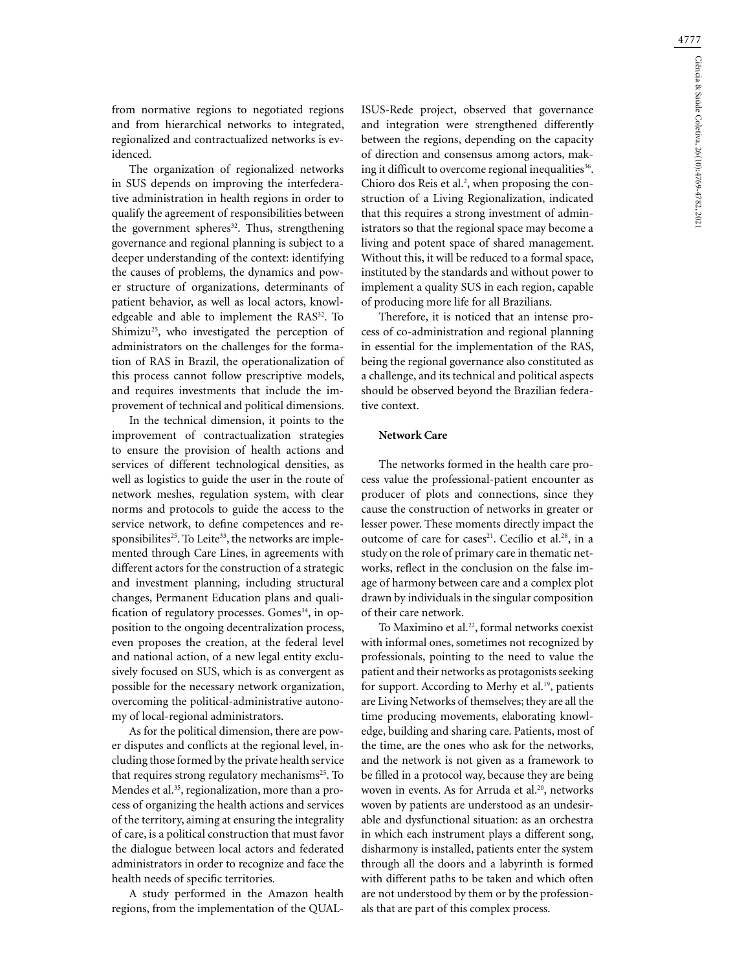from normative regions to negotiated regions and from hierarchical networks to integrated, regionalized and contractualized networks is evidenced.

The organization of regionalized networks in SUS depends on improving the interfederative administration in health regions in order to qualify the agreement of responsibilities between the government spheres<sup>32</sup>. Thus, strengthening governance and regional planning is subject to a deeper understanding of the context: identifying the causes of problems, the dynamics and power structure of organizations, determinants of patient behavior, as well as local actors, knowledgeable and able to implement the RAS<sup>32</sup>. To Shimizu<sup>25</sup>, who investigated the perception of administrators on the challenges for the formation of RAS in Brazil, the operationalization of this process cannot follow prescriptive models, and requires investments that include the improvement of technical and political dimensions.

In the technical dimension, it points to the improvement of contractualization strategies to ensure the provision of health actions and services of different technological densities, as well as logistics to guide the user in the route of network meshes, regulation system, with clear norms and protocols to guide the access to the service network, to define competences and responsibilites<sup>25</sup>. To Leite<sup>33</sup>, the networks are implemented through Care Lines, in agreements with different actors for the construction of a strategic and investment planning, including structural changes, Permanent Education plans and qualification of regulatory processes. Gomes<sup>34</sup>, in opposition to the ongoing decentralization process, even proposes the creation, at the federal level and national action, of a new legal entity exclusively focused on SUS, which is as convergent as possible for the necessary network organization, overcoming the political-administrative autonomy of local-regional administrators.

As for the political dimension, there are power disputes and conflicts at the regional level, including those formed by the private health service that requires strong regulatory mechanisms<sup>25</sup>. To Mendes et al.<sup>35</sup>, regionalization, more than a process of organizing the health actions and services of the territory, aiming at ensuring the integrality of care, is a political construction that must favor the dialogue between local actors and federated administrators in order to recognize and face the health needs of specific territories.

A study performed in the Amazon health regions, from the implementation of the QUAL-

ISUS-Rede project, observed that governance and integration were strengthened differently between the regions, depending on the capacity of direction and consensus among actors, making it difficult to overcome regional inequalities<sup>36</sup>. Chioro dos Reis et al.<sup>2</sup>, when proposing the construction of a Living Regionalization, indicated that this requires a strong investment of administrators so that the regional space may become a living and potent space of shared management. Without this, it will be reduced to a formal space, instituted by the standards and without power to implement a quality SUS in each region, capable of producing more life for all Brazilians.

Therefore, it is noticed that an intense process of co-administration and regional planning in essential for the implementation of the RAS, being the regional governance also constituted as a challenge, and its technical and political aspects should be observed beyond the Brazilian federative context.

## **Network Care**

The networks formed in the health care process value the professional-patient encounter as producer of plots and connections, since they cause the construction of networks in greater or lesser power. These moments directly impact the outcome of care for cases<sup>21</sup>. Cecílio et al.<sup>28</sup>, in a study on the role of primary care in thematic networks, reflect in the conclusion on the false image of harmony between care and a complex plot drawn by individuals in the singular composition of their care network.

To Maximino et al.<sup>22</sup>, formal networks coexist with informal ones, sometimes not recognized by professionals, pointing to the need to value the patient and their networks as protagonists seeking for support. According to Merhy et al.<sup>19</sup>, patients are Living Networks of themselves; they are all the time producing movements, elaborating knowledge, building and sharing care. Patients, most of the time, are the ones who ask for the networks, and the network is not given as a framework to be filled in a protocol way, because they are being woven in events. As for Arruda et al.<sup>20</sup>, networks woven by patients are understood as an undesirable and dysfunctional situation: as an orchestra in which each instrument plays a different song, disharmony is installed, patients enter the system through all the doors and a labyrinth is formed with different paths to be taken and which often are not understood by them or by the professionals that are part of this complex process.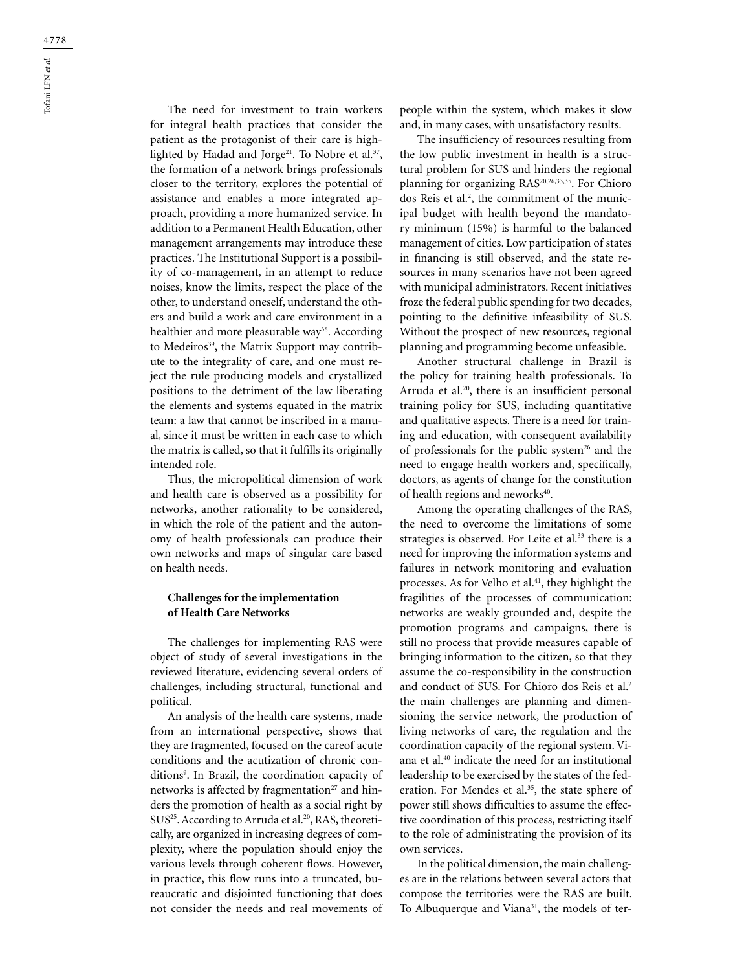The need for investment to train workers for integral health practices that consider the patient as the protagonist of their care is highlighted by Hadad and Jorge<sup>21</sup>. To Nobre et al.<sup>37</sup>, the formation of a network brings professionals closer to the territory, explores the potential of assistance and enables a more integrated approach, providing a more humanized service. In addition to a Permanent Health Education, other management arrangements may introduce these practices. The Institutional Support is a possibility of co-management, in an attempt to reduce noises, know the limits, respect the place of the other, to understand oneself, understand the others and build a work and care environment in a healthier and more pleasurable way<sup>38</sup>. According to Medeiros<sup>39</sup>, the Matrix Support may contribute to the integrality of care, and one must reject the rule producing models and crystallized positions to the detriment of the law liberating the elements and systems equated in the matrix team: a law that cannot be inscribed in a manual, since it must be written in each case to which the matrix is called, so that it fulfills its originally intended role.

Thus, the micropolitical dimension of work and health care is observed as a possibility for networks, another rationality to be considered, in which the role of the patient and the autonomy of health professionals can produce their own networks and maps of singular care based on health needs.

# **Challenges for the implementation of Health Care Networks**

The challenges for implementing RAS were object of study of several investigations in the reviewed literature, evidencing several orders of challenges, including structural, functional and political.

An analysis of the health care systems, made from an international perspective, shows that they are fragmented, focused on the careof acute conditions and the acutization of chronic conditions9 . In Brazil, the coordination capacity of networks is affected by fragmentation $27$  and hinders the promotion of health as a social right by SUS<sup>25</sup>. According to Arruda et al.<sup>20</sup>, RAS, theoretically, are organized in increasing degrees of complexity, where the population should enjoy the various levels through coherent flows. However, in practice, this flow runs into a truncated, bureaucratic and disjointed functioning that does not consider the needs and real movements of

people within the system, which makes it slow and, in many cases, with unsatisfactory results.

The insufficiency of resources resulting from the low public investment in health is a structural problem for SUS and hinders the regional planning for organizing RAS20,26,33,35. For Chioro dos Reis et al.2 , the commitment of the municipal budget with health beyond the mandatory minimum (15%) is harmful to the balanced management of cities. Low participation of states in financing is still observed, and the state resources in many scenarios have not been agreed with municipal administrators. Recent initiatives froze the federal public spending for two decades, pointing to the definitive infeasibility of SUS. Without the prospect of new resources, regional planning and programming become unfeasible.

Another structural challenge in Brazil is the policy for training health professionals. To Arruda et al.<sup>20</sup>, there is an insufficient personal training policy for SUS, including quantitative and qualitative aspects. There is a need for training and education, with consequent availability of professionals for the public system<sup>26</sup> and the need to engage health workers and, specifically, doctors, as agents of change for the constitution of health regions and neworks<sup>40</sup>.

Among the operating challenges of the RAS, the need to overcome the limitations of some strategies is observed. For Leite et al.<sup>33</sup> there is a need for improving the information systems and failures in network monitoring and evaluation processes. As for Velho et al.<sup>41</sup>, they highlight the fragilities of the processes of communication: networks are weakly grounded and, despite the promotion programs and campaigns, there is still no process that provide measures capable of bringing information to the citizen, so that they assume the co-responsibility in the construction and conduct of SUS. For Chioro dos Reis et al.<sup>2</sup> the main challenges are planning and dimensioning the service network, the production of living networks of care, the regulation and the coordination capacity of the regional system. Viana et al.40 indicate the need for an institutional leadership to be exercised by the states of the federation. For Mendes et al.<sup>35</sup>, the state sphere of power still shows difficulties to assume the effective coordination of this process, restricting itself to the role of administrating the provision of its own services.

In the political dimension, the main challenges are in the relations between several actors that compose the territories were the RAS are built. To Albuquerque and Viana<sup>31</sup>, the models of ter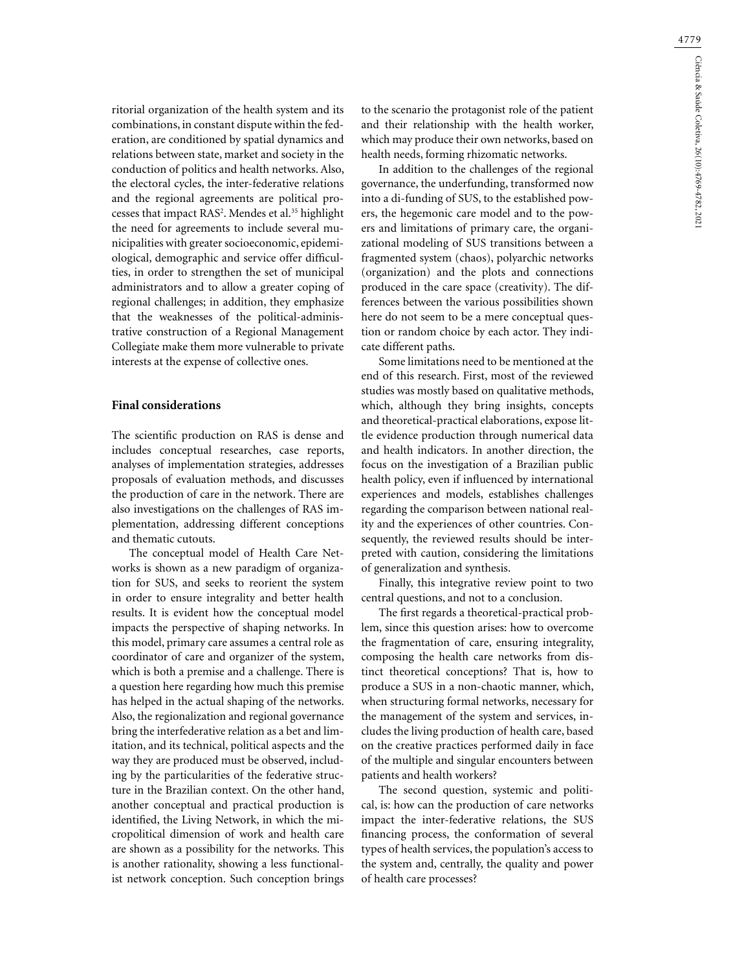ritorial organization of the health system and its combinations, in constant dispute within the federation, are conditioned by spatial dynamics and relations between state, market and society in the conduction of politics and health networks. Also, the electoral cycles, the inter-federative relations and the regional agreements are political processes that impact RAS2 . Mendes et al.35 highlight the need for agreements to include several municipalities with greater socioeconomic, epidemiological, demographic and service offer difficulties, in order to strengthen the set of municipal administrators and to allow a greater coping of regional challenges; in addition, they emphasize that the weaknesses of the political-administrative construction of a Regional Management Collegiate make them more vulnerable to private interests at the expense of collective ones.

# **Final considerations**

The scientific production on RAS is dense and includes conceptual researches, case reports, analyses of implementation strategies, addresses proposals of evaluation methods, and discusses the production of care in the network. There are also investigations on the challenges of RAS implementation, addressing different conceptions and thematic cutouts.

The conceptual model of Health Care Networks is shown as a new paradigm of organization for SUS, and seeks to reorient the system in order to ensure integrality and better health results. It is evident how the conceptual model impacts the perspective of shaping networks. In this model, primary care assumes a central role as coordinator of care and organizer of the system, which is both a premise and a challenge. There is a question here regarding how much this premise has helped in the actual shaping of the networks. Also, the regionalization and regional governance bring the interfederative relation as a bet and limitation, and its technical, political aspects and the way they are produced must be observed, including by the particularities of the federative structure in the Brazilian context. On the other hand, another conceptual and practical production is identified, the Living Network, in which the micropolitical dimension of work and health care are shown as a possibility for the networks. This is another rationality, showing a less functionalist network conception. Such conception brings

to the scenario the protagonist role of the patient and their relationship with the health worker, which may produce their own networks, based on health needs, forming rhizomatic networks.

In addition to the challenges of the regional governance, the underfunding, transformed now into a di-funding of SUS, to the established powers, the hegemonic care model and to the powers and limitations of primary care, the organizational modeling of SUS transitions between a fragmented system (chaos), polyarchic networks (organization) and the plots and connections produced in the care space (creativity). The differences between the various possibilities shown here do not seem to be a mere conceptual question or random choice by each actor. They indicate different paths.

Some limitations need to be mentioned at the end of this research. First, most of the reviewed studies was mostly based on qualitative methods, which, although they bring insights, concepts and theoretical-practical elaborations, expose little evidence production through numerical data and health indicators. In another direction, the focus on the investigation of a Brazilian public health policy, even if influenced by international experiences and models, establishes challenges regarding the comparison between national reality and the experiences of other countries. Consequently, the reviewed results should be interpreted with caution, considering the limitations of generalization and synthesis.

Finally, this integrative review point to two central questions, and not to a conclusion.

The first regards a theoretical-practical problem, since this question arises: how to overcome the fragmentation of care, ensuring integrality, composing the health care networks from distinct theoretical conceptions? That is, how to produce a SUS in a non-chaotic manner, which, when structuring formal networks, necessary for the management of the system and services, includes the living production of health care, based on the creative practices performed daily in face of the multiple and singular encounters between patients and health workers?

The second question, systemic and political, is: how can the production of care networks impact the inter-federative relations, the SUS financing process, the conformation of several types of health services, the population's access to the system and, centrally, the quality and power of health care processes?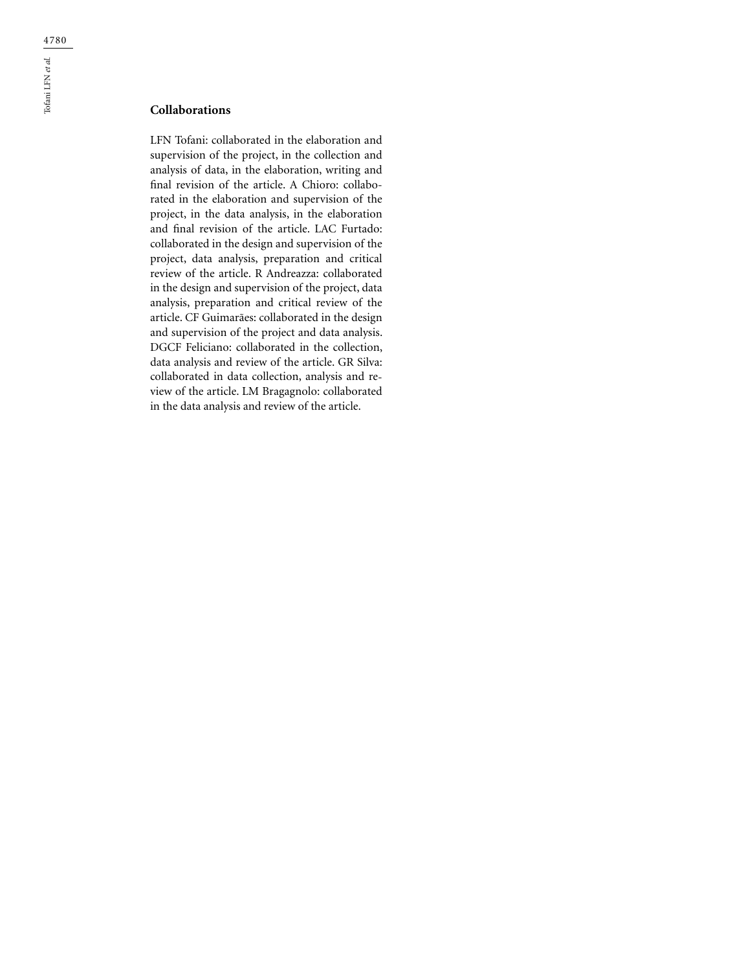# **Collaborations**

LFN Tofani: collaborated in the elaboration and supervision of the project, in the collection and analysis of data, in the elaboration, writing and final revision of the article. A Chioro: collaborated in the elaboration and supervision of the project, in the data analysis, in the elaboration and final revision of the article. LAC Furtado: collaborated in the design and supervision of the project, data analysis, preparation and critical review of the article. R Andreazza: collaborated in the design and supervision of the project, data analysis, preparation and critical review of the article. CF Guimarães: collaborated in the design and supervision of the project and data analysis. DGCF Feliciano: collaborated in the collection, data analysis and review of the article. GR Silva: collaborated in data collection, analysis and review of the article. LM Bragagnolo: collaborated in the data analysis and review of the article.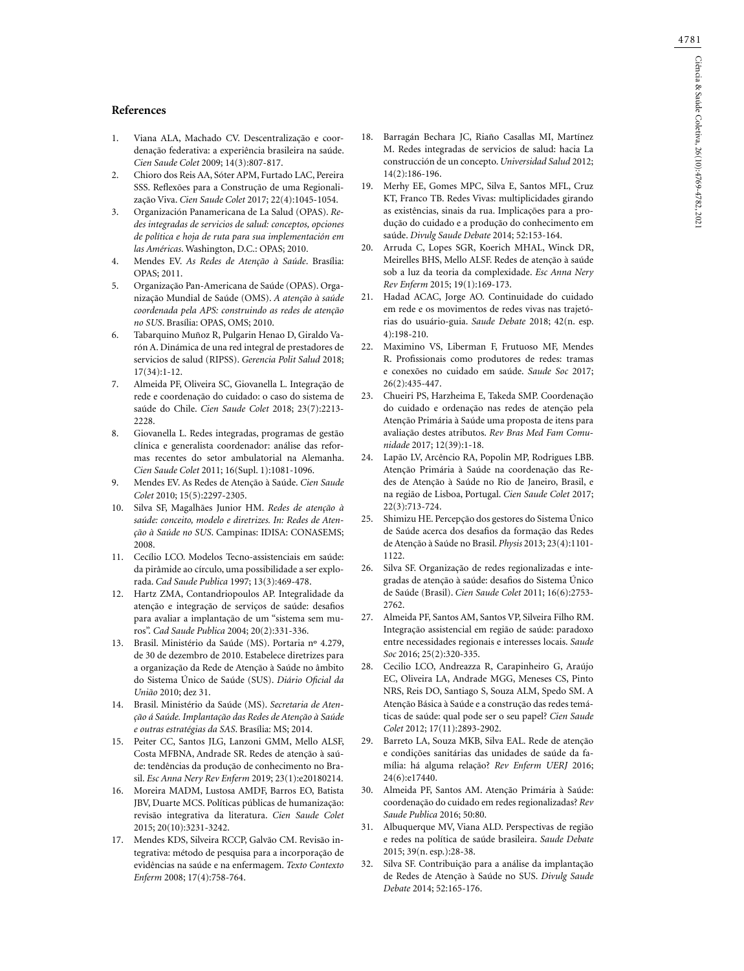#### **References**

- 1. Viana ALA, Machado CV. Descentralização e coordenação federativa: a experiência brasileira na saúde. *Cien Saude Colet* 2009; 14(3):807-817.
- 2. Chioro dos Reis AA, Sóter APM, Furtado LAC, Pereira SSS. Reflexões para a Construção de uma Regionalização Viva. *Cien Saude Colet* 2017; 22(4):1045-1054.
- 3. Organización Panamericana de La Salud (OPAS). *Redes integradas de servicios de salud: conceptos, opciones de política e hoja de ruta para sua implementación em las Américas*. Washington, D.C.: OPAS; 2010.
- 4. Mendes EV. *As Redes de Atenção à Saúde*. Brasília: OPAS; 2011.
- 5. Organização Pan-Americana de Saúde (OPAS). Organização Mundial de Saúde (OMS). *A atenção à saúde coordenada pela APS: construindo as redes de atenção no SUS*. Brasília: OPAS, OMS; 2010.
- 6. Tabarquino Muñoz R, Pulgarin Henao D, Giraldo Varón A. Dinámica de una red integral de prestadores de servicios de salud (RIPSS). *Gerencia Polit Salud* 2018; 17(34):1-12.
- 7. Almeida PF, Oliveira SC, Giovanella L. Integração de rede e coordenação do cuidado: o caso do sistema de saúde do Chile. *Cien Saude Colet* 2018; 23(7):2213- 2228.
- 8. Giovanella L. Redes integradas, programas de gestão clínica e generalista coordenador: análise das reformas recentes do setor ambulatorial na Alemanha. *Cien Saude Colet* 2011; 16(Supl. 1):1081-1096.
- 9. Mendes EV. As Redes de Atenção à Saúde. *Cien Saude Colet* 2010; 15(5):2297-2305.
- 10. Silva SF, Magalhães Junior HM. *Redes de atenção à saúde: conceito, modelo e diretrizes. In: Redes de Atenção à Saúde no SUS*. Campinas: IDISA: CONASEMS; 2008.
- 11. Cecílio LCO. Modelos Tecno-assistenciais em saúde: da pirâmide ao círculo, uma possibilidade a ser explorada. *Cad Saude Publica* 1997; 13(3):469-478.
- 12. Hartz ZMA, Contandriopoulos AP. Integralidade da atenção e integração de serviços de saúde: desafios para avaliar a implantação de um "sistema sem muros". *Cad Saude Publica* 2004; 20(2):331-336.
- 13. Brasil. Ministério da Saúde (MS). Portaria nº 4.279, de 30 de dezembro de 2010. Estabelece diretrizes para a organização da Rede de Atenção à Saúde no âmbito do Sistema Único de Saúde (SUS). *Diário Oficial da União* 2010; dez 31.
- 14. Brasil. Ministério da Saúde (MS). *Secretaria de Atenção á Saúde. Implantação das Redes de Atenção à Saúde e outras estratégias da SAS*. Brasília: MS; 2014.
- 15. Peiter CC, Santos JLG, Lanzoni GMM, Mello ALSF, Costa MFBNA, Andrade SR. Redes de atenção à saúde: tendências da produção de conhecimento no Brasil. *Esc Anna Nery Rev Enferm* 2019; 23(1):e20180214.
- 16. Moreira MADM, Lustosa AMDF, Barros EO, Batista JBV, Duarte MCS. Políticas públicas de humanização: revisão integrativa da literatura. *Cien Saude Colet* 2015; 20(10):3231-3242.
- 17. Mendes KDS, Silveira RCCP, Galvão CM. Revisão integrativa: método de pesquisa para a incorporação de evidências na saúde e na enfermagem. *Texto Contexto Enferm* 2008; 17(4):758-764.
- 18. Barragán Bechara JC, Riaño Casallas MI, Martínez M. Redes integradas de servicios de salud: hacia La construcción de un concepto. *Universidad Salud* 2012; 14(2):186-196.
- 19. Merhy EE, Gomes MPC, Silva E, Santos MFL, Cruz KT, Franco TB. Redes Vivas: multiplicidades girando as existências, sinais da rua. Implicações para a produção do cuidado e a produção do conhecimento em saúde. *Divulg Saude Debate* 2014; 52:153-164.
- 20. Arruda C, Lopes SGR, Koerich MHAL, Winck DR, Meirelles BHS, Mello ALSF. Redes de atenção à saúde sob a luz da teoria da complexidade. *Esc Anna Nery Rev Enferm* 2015; 19(1):169-173.
- 21. Hadad ACAC, Jorge AO. Continuidade do cuidado em rede e os movimentos de redes vivas nas trajetórias do usuário-guia. *Saude Debate* 2018; 42(n. esp. 4):198-210.
- 22. Maximino VS, Liberman F, Frutuoso MF, Mendes R. Profissionais como produtores de redes: tramas e conexões no cuidado em saúde. *Saude Soc* 2017; 26(2):435-447.
- 23. Chueiri PS, Harzheima E, Takeda SMP. Coordenação do cuidado e ordenação nas redes de atenção pela Atenção Primária à Saúde uma proposta de itens para avaliação destes atributos. *Rev Bras Med Fam Comunidade* 2017; 12(39):1-18.
- 24. Lapão LV, Arcêncio RA, Popolin MP, Rodrigues LBB. Atenção Primária à Saúde na coordenação das Redes de Atenção à Saúde no Rio de Janeiro, Brasil, e na região de Lisboa, Portugal. *Cien Saude Colet* 2017; 22(3):713-724.
- 25. Shimizu HE. Percepção dos gestores do Sistema Único de Saúde acerca dos desafios da formação das Redes de Atenção à Saúde no Brasil. *Physis* 2013; 23(4):1101- 1122.
- 26. Silva SF. Organização de redes regionalizadas e integradas de atenção à saúde: desafios do Sistema Único de Saúde (Brasil). *Cien Saude Colet* 2011; 16(6):2753- 2762.
- 27. Almeida PF, Santos AM, Santos VP, Silveira Filho RM. Integração assistencial em região de saúde: paradoxo entre necessidades regionais e interesses locais. *Saude Soc* 2016; 25(2):320-335.
- 28. Cecilio LCO, Andreazza R, Carapinheiro G, Araújo EC, Oliveira LA, Andrade MGG, Meneses CS, Pinto NRS, Reis DO, Santiago S, Souza ALM, Spedo SM. A Atenção Básica à Saúde e a construção das redes temáticas de saúde: qual pode ser o seu papel? *Cien Saude Colet* 2012; 17(11):2893-2902.
- 29. Barreto LA, Souza MKB, Silva EAL. Rede de atenção e condições sanitárias das unidades de saúde da família: há alguma relação? *Rev Enferm UERJ* 2016; 24(6):e17440.
- 30. Almeida PF, Santos AM. Atenção Primária à Saúde: coordenação do cuidado em redes regionalizadas? *Rev Saude Publica* 2016; 50:80.
- 31. Albuquerque MV, Viana ALD. Perspectivas de região e redes na política de saúde brasileira. *Saude Debate* 2015; 39(n. esp.):28-38.
- 32. Silva SF. Contribuição para a análise da implantação de Redes de Atenção à Saúde no SUS. *Divulg Saude Debate* 2014; 52:165-176.